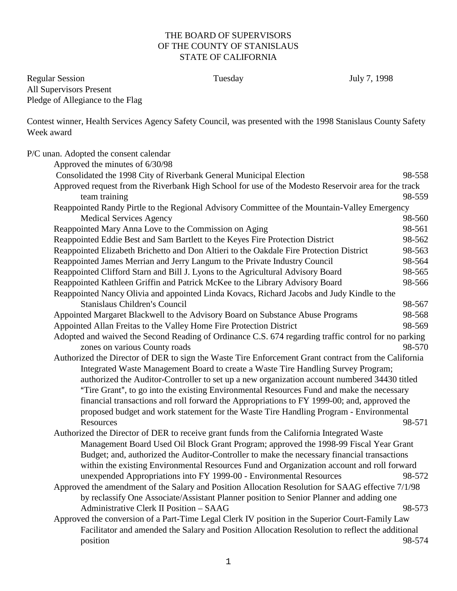## THE BOARD OF SUPERVISORS OF THE COUNTY OF STANISLAUS STATE OF CALIFORNIA

Regular Session Tuesday July 7, 1998 All Supervisors Present Pledge of Allegiance to the Flag

Contest winner, Health Services Agency Safety Council, was presented with the 1998 Stanislaus County Safety Week award

| P/C unan. Adopted the consent calendar                                                               |        |
|------------------------------------------------------------------------------------------------------|--------|
| Approved the minutes of 6/30/98                                                                      |        |
| Consolidated the 1998 City of Riverbank General Municipal Election                                   | 98-558 |
| Approved request from the Riverbank High School for use of the Modesto Reservoir area for the track  |        |
| team training                                                                                        | 98-559 |
| Reappointed Randy Pirtle to the Regional Advisory Committee of the Mountain-Valley Emergency         |        |
| <b>Medical Services Agency</b>                                                                       | 98-560 |
| Reappointed Mary Anna Love to the Commission on Aging                                                | 98-561 |
| Reappointed Eddie Best and Sam Bartlett to the Keyes Fire Protection District                        | 98-562 |
| Reappointed Elizabeth Brichetto and Don Altieri to the Oakdale Fire Protection District              | 98-563 |
| Reappointed James Merrian and Jerry Langum to the Private Industry Council                           | 98-564 |
| Reappointed Clifford Starn and Bill J. Lyons to the Agricultural Advisory Board                      | 98-565 |
| Reappointed Kathleen Griffin and Patrick McKee to the Library Advisory Board                         | 98-566 |
| Reappointed Nancy Olivia and appointed Linda Kovacs, Richard Jacobs and Judy Kindle to the           |        |
| Stanislaus Children's Council                                                                        | 98-567 |
| Appointed Margaret Blackwell to the Advisory Board on Substance Abuse Programs                       | 98-568 |
| Appointed Allan Freitas to the Valley Home Fire Protection District                                  | 98-569 |
| Adopted and waived the Second Reading of Ordinance C.S. 674 regarding traffic control for no parking |        |
| zones on various County roads                                                                        | 98-570 |
| Authorized the Director of DER to sign the Waste Tire Enforcement Grant contract from the California |        |
| Integrated Waste Management Board to create a Waste Tire Handling Survey Program;                    |        |
| authorized the Auditor-Controller to set up a new organization account numbered 34430 titled         |        |
| "Tire Grant", to go into the existing Environmental Resources Fund and make the necessary            |        |
| financial transactions and roll forward the Appropriations to FY 1999-00; and, approved the          |        |
| proposed budget and work statement for the Waste Tire Handling Program - Environmental               |        |
| Resources                                                                                            | 98-571 |
| Authorized the Director of DER to receive grant funds from the California Integrated Waste           |        |
| Management Board Used Oil Block Grant Program; approved the 1998-99 Fiscal Year Grant                |        |
| Budget; and, authorized the Auditor-Controller to make the necessary financial transactions          |        |
| within the existing Environmental Resources Fund and Organization account and roll forward           |        |
| unexpended Appropriations into FY 1999-00 - Environmental Resources                                  | 98-572 |
| Approved the amendment of the Salary and Position Allocation Resolution for SAAG effective 7/1/98    |        |
| by reclassify One Associate/Assistant Planner position to Senior Planner and adding one              |        |
| Administrative Clerk II Position - SAAG                                                              | 98-573 |
| Approved the conversion of a Part-Time Legal Clerk IV position in the Superior Court-Family Law      |        |
| Facilitator and amended the Salary and Position Allocation Resolution to reflect the additional      |        |
| position                                                                                             | 98-574 |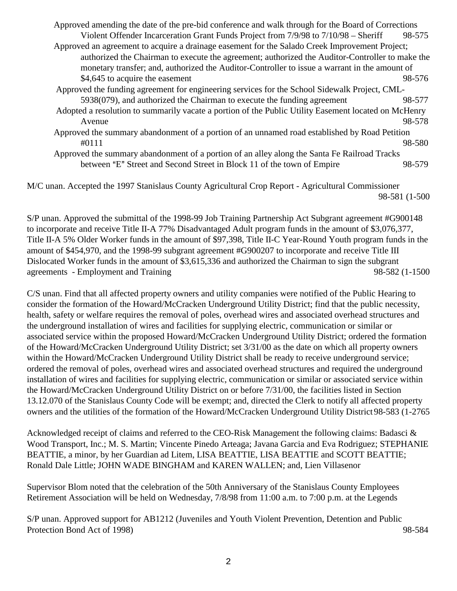Approved amending the date of the pre-bid conference and walk through for the Board of Corrections Violent Offender Incarceration Grant Funds Project from 7/9/98 to 7/10/98 – Sheriff 98-575 Approved an agreement to acquire a drainage easement for the Salado Creek Improvement Project; authorized the Chairman to execute the agreement; authorized the Auditor-Controller to make the monetary transfer; and, authorized the Auditor-Controller to issue a warrant in the amount of \$4,645 to acquire the easement 98-576 Approved the funding agreement for engineering services for the School Sidewalk Project, CML-5938(079), and authorized the Chairman to execute the funding agreement 98-577 Adopted a resolution to summarily vacate a portion of the Public Utility Easement located on McHenry Avenue 98-578 Approved the summary abandonment of a portion of an unnamed road established by Road Petition #0111 98-580 Approved the summary abandonment of a portion of an alley along the Santa Fe Railroad Tracks between "E" Street and Second Street in Block 11 of the town of Empire 98-579

M/C unan. Accepted the 1997 Stanislaus County Agricultural Crop Report - Agricultural Commissioner 98-581 (1-500

S/P unan. Approved the submittal of the 1998-99 Job Training Partnership Act Subgrant agreement #G900148 to incorporate and receive Title II-A 77% Disadvantaged Adult program funds in the amount of \$3,076,377, Title II-A 5% Older Worker funds in the amount of \$97,398, Title II-C Year-Round Youth program funds in the amount of \$454,970, and the 1998-99 subgrant agreement #G900207 to incorporate and receive Title III Dislocated Worker funds in the amount of \$3,615,336 and authorized the Chairman to sign the subgrant agreements - Employment and Training 98-582 (1-1500

C/S unan. Find that all affected property owners and utility companies were notified of the Public Hearing to consider the formation of the Howard/McCracken Underground Utility District; find that the public necessity, health, safety or welfare requires the removal of poles, overhead wires and associated overhead structures and the underground installation of wires and facilities for supplying electric, communication or similar or associated service within the proposed Howard/McCracken Underground Utility District; ordered the formation of the Howard/McCracken Underground Utility District; set 3/31/00 as the date on which all property owners within the Howard/McCracken Underground Utility District shall be ready to receive underground service; ordered the removal of poles, overhead wires and associated overhead structures and required the underground installation of wires and facilities for supplying electric, communication or similar or associated service within the Howard/McCracken Underground Utility District on or before 7/31/00, the facilities listed in Section 13.12.070 of the Stanislaus County Code will be exempt; and, directed the Clerk to notify all affected property owners and the utilities of the formation of the Howard/McCracken Underground Utility District 98-583 (1-2765

Acknowledged receipt of claims and referred to the CEO-Risk Management the following claims: Badasci & Wood Transport, Inc.; M. S. Martin; Vincente Pinedo Arteaga; Javana Garcia and Eva Rodriguez; STEPHANIE BEATTIE, a minor, by her Guardian ad Litem, LISA BEATTIE, LISA BEATTIE and SCOTT BEATTIE; Ronald Dale Little; JOHN WADE BINGHAM and KAREN WALLEN; and, Lien Villasenor

Supervisor Blom noted that the celebration of the 50th Anniversary of the Stanislaus County Employees Retirement Association will be held on Wednesday, 7/8/98 from 11:00 a.m. to 7:00 p.m. at the Legends

S/P unan. Approved support for AB1212 (Juveniles and Youth Violent Prevention, Detention and Public Protection Bond Act of 1998) 98-584